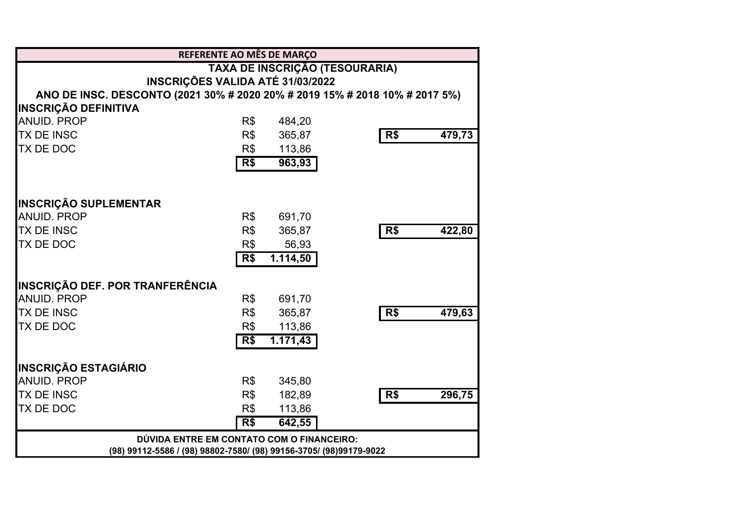|                                                                    | REFERENTE AO MÊS DE MARÇO                                                   |               |  |  |  |
|--------------------------------------------------------------------|-----------------------------------------------------------------------------|---------------|--|--|--|
|                                                                    | TAXA DE INSCRIÇÃO (TESOURARIA)                                              |               |  |  |  |
|                                                                    | INSCRIÇÕES VALIDA ATÉ 31/03/2022                                            |               |  |  |  |
|                                                                    | ANO DE INSC. DESCONTO (2021 30% # 2020 20% # 2019 15% # 2018 10% # 2017 5%) |               |  |  |  |
| <b>INSCRIÇÃO DEFINITIVA</b>                                        |                                                                             |               |  |  |  |
| <b>ANUID. PROP</b>                                                 | R\$<br>484,20                                                               |               |  |  |  |
| <b>TX DE INSC</b>                                                  | R\$<br>365,87                                                               | R\$<br>479,73 |  |  |  |
| TX DE DOC                                                          | R\$<br>113,86                                                               |               |  |  |  |
|                                                                    | R\$<br>963,93                                                               |               |  |  |  |
| <b>INSCRIÇÃO SUPLEMENTAR</b>                                       |                                                                             |               |  |  |  |
| <b>ANUID, PROP</b>                                                 | R\$<br>691,70                                                               |               |  |  |  |
| <b>TX DE INSC</b>                                                  | R\$<br>365,87                                                               | R\$<br>422,80 |  |  |  |
| <b>TX DE DOC</b>                                                   | R\$<br>56,93                                                                |               |  |  |  |
|                                                                    | 1.114,50<br>R\$                                                             |               |  |  |  |
|                                                                    |                                                                             |               |  |  |  |
| <b>INSCRIÇÃO DEF. POR TRANFERÊNCIA</b>                             |                                                                             |               |  |  |  |
| <b>ANUID, PROP</b>                                                 | R\$<br>691,70                                                               |               |  |  |  |
| <b>TX DE INSC</b>                                                  | R\$<br>365,87                                                               | 479,63<br>R\$ |  |  |  |
| <b>TX DE DOC</b>                                                   | R\$<br>113,86                                                               |               |  |  |  |
|                                                                    | 1.171,43<br>R\$                                                             |               |  |  |  |
| <b>INSCRIÇÃO ESTAGIÁRIO</b>                                        |                                                                             |               |  |  |  |
| <b>ANUID, PROP</b>                                                 | R\$<br>345,80                                                               |               |  |  |  |
| <b>TX DE INSC</b>                                                  | R\$<br>182,89                                                               | R\$<br>296,75 |  |  |  |
| TX DE DOC                                                          | R\$<br>113,86                                                               |               |  |  |  |
|                                                                    | $\overline{R}$ \$<br>642,55                                                 |               |  |  |  |
|                                                                    | DÚVIDA ENTRE EM CONTATO COM O FINANCEIRO:                                   |               |  |  |  |
| (98) 99112-5586 / (98) 98802-7580/ (98) 99156-3705/ (98)99179-9022 |                                                                             |               |  |  |  |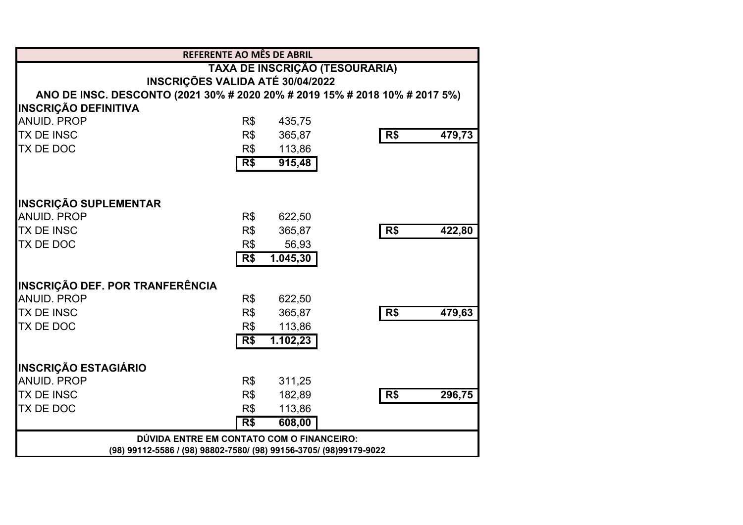|                                        | REFERENTE AO MÊS DE ABRIL                                                   |                          |
|----------------------------------------|-----------------------------------------------------------------------------|--------------------------|
|                                        | TAXA DE INSCRIÇÃO (TESOURARIA)                                              |                          |
|                                        | <b>INSCRIÇÕES VALIDA ATÉ 30/04/2022</b>                                     |                          |
|                                        | ANO DE INSC. DESCONTO (2021 30% # 2020 20% # 2019 15% # 2018 10% # 2017 5%) |                          |
| <b>INSCRIÇÃO DEFINITIVA</b>            |                                                                             |                          |
| <b>ANUID. PROP</b>                     | R\$<br>435,75                                                               |                          |
| <b>TX DE INSC</b>                      | 365,87<br>R\$                                                               | R <sub>5</sub><br>479,73 |
| TX DE DOC                              | R\$<br>113,86                                                               |                          |
|                                        | R\$<br>915,48                                                               |                          |
| <b>INSCRIÇÃO SUPLEMENTAR</b>           |                                                                             |                          |
| <b>ANUID. PROP</b>                     | R\$<br>622,50                                                               |                          |
| <b>TX DE INSC</b>                      | R\$<br>365,87                                                               | R\$<br>422,80            |
| <b>TX DE DOC</b>                       | R\$<br>56,93                                                                |                          |
|                                        | R\$<br>1.045, 30                                                            |                          |
| <b>INSCRIÇÃO DEF. POR TRANFERÊNCIA</b> |                                                                             |                          |
| <b>ANUID, PROP</b>                     | R\$<br>622,50                                                               |                          |
| <b>TX DE INSC</b>                      | R\$<br>365,87                                                               | 479,63<br>R\$            |
| TX DE DOC                              | R\$<br>113,86                                                               |                          |
|                                        | 1.102,23<br>R\$                                                             |                          |
| <b>INSCRIÇÃO ESTAGIÁRIO</b>            |                                                                             |                          |
| <b>ANUID, PROP</b>                     | R\$<br>311,25                                                               |                          |
| <b>TX DE INSC</b>                      | R\$<br>182,89                                                               | R\$<br>296,75            |
| TX DE DOC                              | R\$<br>113,86                                                               |                          |
|                                        | 608,00<br>R\$                                                               |                          |
|                                        | DÚVIDA ENTRE EM CONTATO COM O FINANCEIRO:                                   |                          |
|                                        | (98) 99112-5586 / (98) 98802-7580/ (98) 99156-3705/ (98)99179-9022          |                          |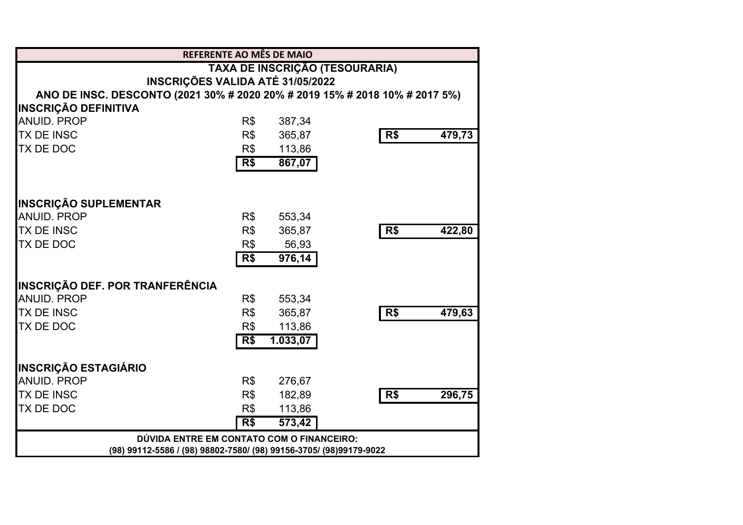|                                                                             | REFERENTE AO MÊS DE MAIO                                           |                     |                |        |
|-----------------------------------------------------------------------------|--------------------------------------------------------------------|---------------------|----------------|--------|
|                                                                             | TAXA DE INSCRIÇÃO (TESOURARIA)                                     |                     |                |        |
|                                                                             | INSCRIÇÕES VALIDA ATÉ 31/05/2022                                   |                     |                |        |
| ANO DE INSC. DESCONTO (2021 30% # 2020 20% # 2019 15% # 2018 10% # 2017 5%) |                                                                    |                     |                |        |
| <b>INSCRIÇÃO DEFINITIVA</b>                                                 |                                                                    |                     |                |        |
| <b>ANUID. PROP</b>                                                          | R\$                                                                | 387,34              |                |        |
| <b>TX DE INSC</b>                                                           | R\$                                                                | 365,87              | R <sub>5</sub> | 479,73 |
| TX DE DOC                                                                   | R\$                                                                | 113,86              |                |        |
|                                                                             | R\$                                                                | 867,07              |                |        |
| <b>INSCRIÇÃO SUPLEMENTAR</b>                                                |                                                                    |                     |                |        |
| <b>ANUID. PROP</b>                                                          | R\$                                                                | 553,34              |                |        |
| <b>TX DE INSC</b>                                                           | R\$                                                                | 365,87              | R\$            | 422,80 |
| <b>TX DE DOC</b>                                                            | R\$                                                                | 56,93               |                |        |
|                                                                             | R\$                                                                | $\overline{976,14}$ |                |        |
| <b>INSCRIÇÃO DEF. POR TRANFERÊNCIA</b>                                      |                                                                    |                     |                |        |
| <b>ANUID, PROP</b>                                                          | R\$                                                                | 553,34              |                |        |
| <b>TX DE INSC</b>                                                           | R\$                                                                | 365,87              | R\$            | 479,63 |
| TX DE DOC                                                                   | R\$                                                                | 113,86              |                |        |
|                                                                             | R\$                                                                | 1.033,07            |                |        |
| <b>INSCRIÇÃO ESTAGIÁRIO</b>                                                 |                                                                    |                     |                |        |
| <b>ANUID, PROP</b>                                                          | R\$                                                                | 276,67              |                |        |
| <b>TX DE INSC</b>                                                           | R\$                                                                | 182,89              | R\$            | 296,75 |
| TX DE DOC                                                                   | R\$                                                                | 113,86              |                |        |
|                                                                             | R\$                                                                | 573,42              |                |        |
|                                                                             | DÚVIDA ENTRE EM CONTATO COM O FINANCEIRO:                          |                     |                |        |
|                                                                             | (98) 99112-5586 / (98) 98802-7580/ (98) 99156-3705/ (98)99179-9022 |                     |                |        |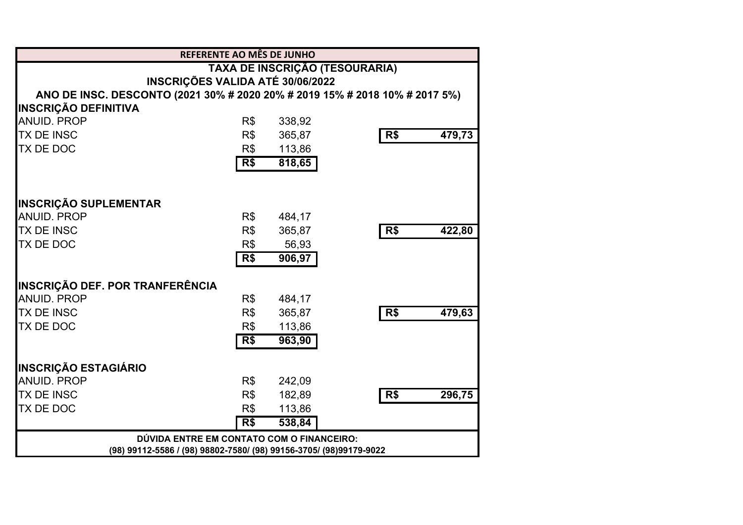|                                                                             | REFERENTE AO MÊS DE JUNHO                                          |        |                |        |
|-----------------------------------------------------------------------------|--------------------------------------------------------------------|--------|----------------|--------|
|                                                                             | TAXA DE INSCRIÇÃO (TESOURARIA)                                     |        |                |        |
|                                                                             | <b>INSCRIÇÕES VALIDA ATÉ 30/06/2022</b>                            |        |                |        |
| ANO DE INSC. DESCONTO (2021 30% # 2020 20% # 2019 15% # 2018 10% # 2017 5%) |                                                                    |        |                |        |
| <b>INSCRIÇÃO DEFINITIVA</b>                                                 |                                                                    |        |                |        |
| <b>ANUID. PROP</b>                                                          | R\$                                                                | 338,92 |                |        |
| <b>TX DE INSC</b>                                                           | R\$                                                                | 365,87 | R <sub>5</sub> | 479,73 |
| TX DE DOC                                                                   | R\$                                                                | 113,86 |                |        |
|                                                                             | R <sub>s</sub>                                                     | 818,65 |                |        |
|                                                                             |                                                                    |        |                |        |
| <b>INSCRIÇÃO SUPLEMENTAR</b>                                                |                                                                    |        |                |        |
| <b>ANUID. PROP</b>                                                          | R\$                                                                | 484,17 |                |        |
| <b>TX DE INSC</b>                                                           | R\$                                                                | 365,87 | R\$            | 422,80 |
| <b>TX DE DOC</b>                                                            | R\$                                                                | 56,93  |                |        |
|                                                                             | R\$                                                                | 906,97 |                |        |
| <b>INSCRIÇÃO DEF. POR TRANFERÊNCIA</b>                                      |                                                                    |        |                |        |
| <b>ANUID. PROP</b>                                                          | R\$                                                                | 484,17 |                |        |
| <b>TX DE INSC</b>                                                           | R\$                                                                | 365,87 | R\$            | 479,63 |
| <b>TX DE DOC</b>                                                            | R\$                                                                | 113,86 |                |        |
|                                                                             | R\$                                                                | 963,90 |                |        |
| <b>INSCRIÇÃO ESTAGIÁRIO</b>                                                 |                                                                    |        |                |        |
| <b>ANUID, PROP</b>                                                          | R\$                                                                | 242,09 |                |        |
| <b>TX DE INSC</b>                                                           | R\$                                                                | 182,89 | R\$            | 296,75 |
| <b>TX DE DOC</b>                                                            | R\$                                                                | 113,86 |                |        |
|                                                                             | R\$                                                                | 538,84 |                |        |
|                                                                             | DÚVIDA ENTRE EM CONTATO COM O FINANCEIRO:                          |        |                |        |
|                                                                             | (98) 99112-5586 / (98) 98802-7580/ (98) 99156-3705/ (98)99179-9022 |        |                |        |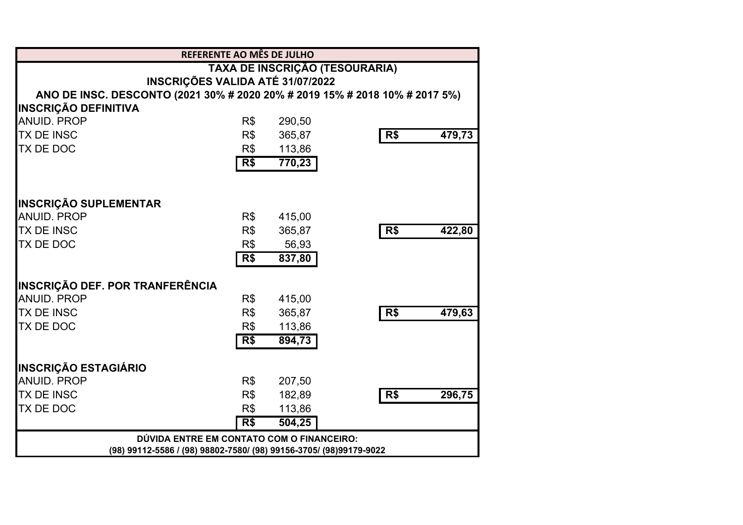|                                                                             | <b>REFERENTE AO MÊS DE JULHO</b>                                   |                                |                |        |
|-----------------------------------------------------------------------------|--------------------------------------------------------------------|--------------------------------|----------------|--------|
|                                                                             |                                                                    | TAXA DE INSCRIÇÃO (TESOURARIA) |                |        |
|                                                                             | INSCRIÇÕES VALIDA ATÉ 31/07/2022                                   |                                |                |        |
| ANO DE INSC. DESCONTO (2021 30% # 2020 20% # 2019 15% # 2018 10% # 2017 5%) |                                                                    |                                |                |        |
| <b>INSCRIÇÃO DEFINITIVA</b>                                                 |                                                                    |                                |                |        |
| <b>ANUID. PROP</b>                                                          | R\$                                                                | 290,50                         |                |        |
| <b>TX DE INSC</b>                                                           | R\$                                                                | 365,87                         | R <sub>5</sub> | 479,73 |
| TX DE DOC                                                                   | R\$                                                                | 113,86                         |                |        |
|                                                                             | R\$                                                                | 770,23                         |                |        |
| <b>INSCRIÇÃO SUPLEMENTAR</b>                                                |                                                                    |                                |                |        |
| <b>ANUID. PROP</b>                                                          | R\$                                                                | 415,00                         |                |        |
| <b>TX DE INSC</b>                                                           | R\$                                                                | 365,87                         | R\$            | 422,80 |
| <b>TX DE DOC</b>                                                            | R\$                                                                | 56,93                          |                |        |
|                                                                             | R\$                                                                | 837,80                         |                |        |
| <b>INSCRIÇÃO DEF. POR TRANFERÊNCIA</b>                                      |                                                                    |                                |                |        |
| <b>ANUID, PROP</b>                                                          | R\$                                                                | 415,00                         |                |        |
| <b>TX DE INSC</b>                                                           | R\$                                                                | 365,87                         | R\$            | 479,63 |
| TX DE DOC                                                                   | R\$                                                                | 113,86                         |                |        |
|                                                                             | R\$                                                                | 894,73                         |                |        |
| <b>INSCRIÇÃO ESTAGIÁRIO</b>                                                 |                                                                    |                                |                |        |
| <b>ANUID, PROP</b>                                                          | R\$                                                                | 207,50                         |                |        |
| <b>TX DE INSC</b>                                                           | R\$                                                                | 182,89                         | R\$            | 296,75 |
| TX DE DOC                                                                   | R\$                                                                | 113,86                         |                |        |
|                                                                             | R\$                                                                | 504,25                         |                |        |
|                                                                             | DÚVIDA ENTRE EM CONTATO COM O FINANCEIRO:                          |                                |                |        |
|                                                                             | (98) 99112-5586 / (98) 98802-7580/ (98) 99156-3705/ (98)99179-9022 |                                |                |        |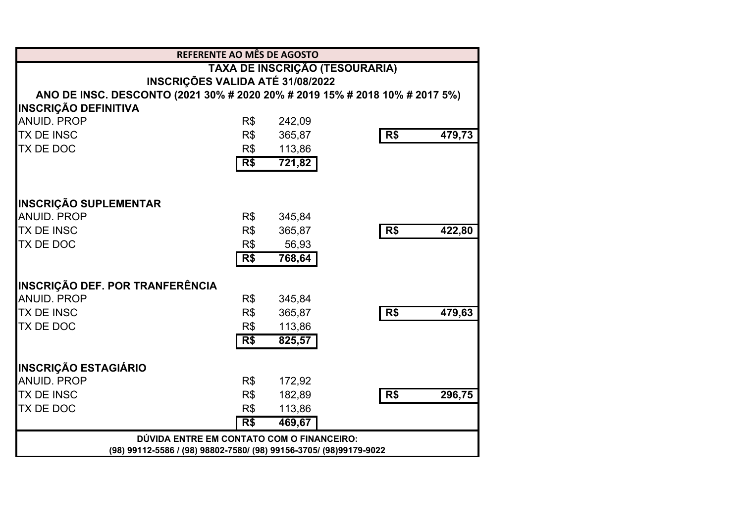|                                                                             | <b>REFERENTE AO MÊS DE AGOSTO</b>                                  |                                |     |        |
|-----------------------------------------------------------------------------|--------------------------------------------------------------------|--------------------------------|-----|--------|
|                                                                             |                                                                    | TAXA DE INSCRIÇÃO (TESOURARIA) |     |        |
|                                                                             | INSCRIÇÕES VALIDA ATÉ 31/08/2022                                   |                                |     |        |
| ANO DE INSC. DESCONTO (2021 30% # 2020 20% # 2019 15% # 2018 10% # 2017 5%) |                                                                    |                                |     |        |
| <b>INSCRIÇÃO DEFINITIVA</b>                                                 |                                                                    |                                |     |        |
| <b>ANUID. PROP</b>                                                          | R\$                                                                | 242,09                         |     |        |
| <b>TX DE INSC</b>                                                           | R\$                                                                | 365,87                         | R\$ | 479,73 |
| <b>TX DE DOC</b>                                                            | R\$                                                                | 113,86                         |     |        |
|                                                                             | R\$                                                                | 721,82                         |     |        |
| <b>INSCRIÇÃO SUPLEMENTAR</b>                                                |                                                                    |                                |     |        |
| <b>ANUID, PROP</b>                                                          | R\$                                                                | 345,84                         |     |        |
| <b>TX DE INSC</b>                                                           | R\$                                                                | 365,87                         | R\$ | 422,80 |
| TX DE DOC                                                                   | R\$                                                                | 56,93                          |     |        |
|                                                                             | R\$                                                                | 768,64                         |     |        |
| <b>INSCRIÇÃO DEF. POR TRANFERÊNCIA</b>                                      |                                                                    |                                |     |        |
| <b>ANUID, PROP</b>                                                          | R\$                                                                | 345,84                         |     |        |
| <b>TX DE INSC</b>                                                           | R\$                                                                | 365,87                         | R\$ | 479,63 |
| TX DE DOC                                                                   | R\$                                                                | 113,86                         |     |        |
|                                                                             | R\$                                                                | 825,57                         |     |        |
| <b>INSCRIÇÃO ESTAGIÁRIO</b>                                                 |                                                                    |                                |     |        |
| <b>ANUID. PROP</b>                                                          | R\$                                                                | 172,92                         |     |        |
| <b>TX DE INSC</b>                                                           | R\$                                                                | 182,89                         | R\$ | 296,75 |
| TX DE DOC                                                                   | R\$                                                                | 113,86                         |     |        |
|                                                                             | R\$                                                                | 469,67                         |     |        |
|                                                                             | DÚVIDA ENTRE EM CONTATO COM O FINANCEIRO:                          |                                |     |        |
|                                                                             | (98) 99112-5586 / (98) 98802-7580/ (98) 99156-3705/ (98)99179-9022 |                                |     |        |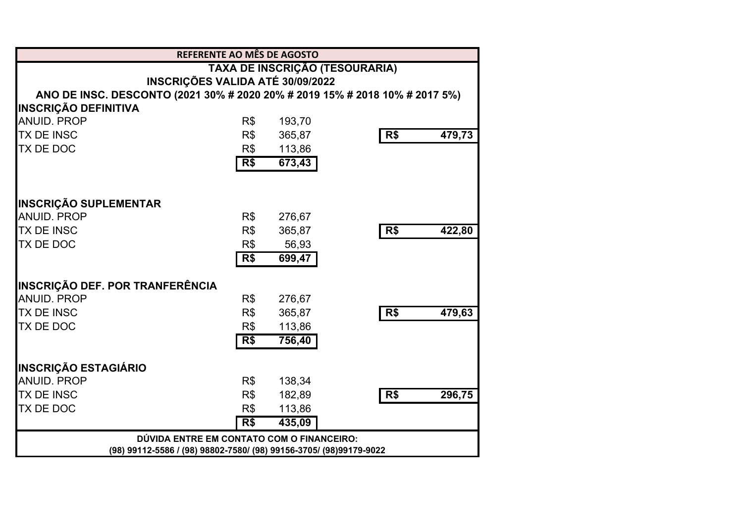|                                                                             | <b>REFERENTE AO MÊS DE AGOSTO</b>                                  |                                |     |        |
|-----------------------------------------------------------------------------|--------------------------------------------------------------------|--------------------------------|-----|--------|
|                                                                             |                                                                    | TAXA DE INSCRIÇÃO (TESOURARIA) |     |        |
|                                                                             | INSCRIÇÕES VALIDA ATÉ 30/09/2022                                   |                                |     |        |
| ANO DE INSC. DESCONTO (2021 30% # 2020 20% # 2019 15% # 2018 10% # 2017 5%) |                                                                    |                                |     |        |
| <b>INSCRIÇÃO DEFINITIVA</b>                                                 |                                                                    |                                |     |        |
| <b>ANUID. PROP</b>                                                          | R\$                                                                | 193,70                         |     |        |
| <b>TX DE INSC</b>                                                           | R\$                                                                | 365,87                         | R\$ | 479,73 |
| <b>TX DE DOC</b>                                                            | R\$                                                                | 113,86                         |     |        |
|                                                                             | R <sub>5</sub>                                                     | 673,43                         |     |        |
| <b>INSCRIÇÃO SUPLEMENTAR</b>                                                |                                                                    |                                |     |        |
| <b>ANUID, PROP</b>                                                          | R\$                                                                | 276,67                         |     |        |
| <b>TX DE INSC</b>                                                           | R\$                                                                | 365,87                         | R\$ | 422,80 |
| TX DE DOC                                                                   | R\$                                                                | 56,93                          |     |        |
|                                                                             | R\$                                                                | 699,47                         |     |        |
| <b>INSCRIÇÃO DEF. POR TRANFERÊNCIA</b>                                      |                                                                    |                                |     |        |
| <b>ANUID, PROP</b>                                                          | R\$                                                                | 276,67                         |     |        |
| <b>TX DE INSC</b>                                                           | R\$                                                                | 365,87                         | R\$ | 479,63 |
| TX DE DOC                                                                   | R\$                                                                | 113,86                         |     |        |
|                                                                             | R\$                                                                | 756,40                         |     |        |
| <b>INSCRIÇÃO ESTAGIÁRIO</b>                                                 |                                                                    |                                |     |        |
| <b>ANUID. PROP</b>                                                          | R\$                                                                | 138,34                         |     |        |
| <b>TX DE INSC</b>                                                           | R\$                                                                | 182,89                         | R\$ | 296,75 |
| TX DE DOC                                                                   | R\$                                                                | 113,86                         |     |        |
|                                                                             | R\$                                                                | 435,09                         |     |        |
|                                                                             | DÚVIDA ENTRE EM CONTATO COM O FINANCEIRO:                          |                                |     |        |
|                                                                             | (98) 99112-5586 / (98) 98802-7580/ (98) 99156-3705/ (98)99179-9022 |                                |     |        |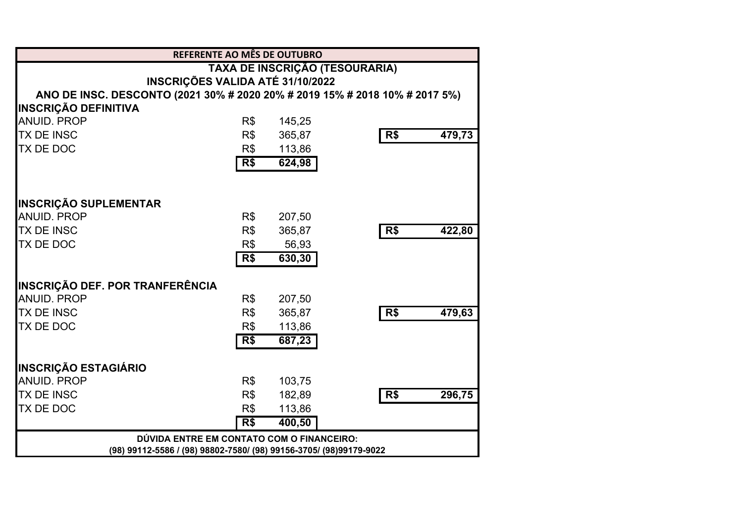|                                                                             | REFERENTE AO MÊS DE OUTUBRO                                        |        |     |        |
|-----------------------------------------------------------------------------|--------------------------------------------------------------------|--------|-----|--------|
|                                                                             | TAXA DE INSCRIÇÃO (TESOURARIA)                                     |        |     |        |
|                                                                             | INSCRIÇÕES VALIDA ATÉ 31/10/2022                                   |        |     |        |
| ANO DE INSC. DESCONTO (2021 30% # 2020 20% # 2019 15% # 2018 10% # 2017 5%) |                                                                    |        |     |        |
| <b>INSCRIÇÃO DEFINITIVA</b>                                                 |                                                                    |        |     |        |
| <b>ANUID. PROP</b>                                                          | R\$                                                                | 145,25 |     |        |
| <b>TX DE INSC</b>                                                           | R\$                                                                | 365,87 | R\$ | 479,73 |
| <b>TX DE DOC</b>                                                            | R\$                                                                | 113,86 |     |        |
|                                                                             | R\$                                                                | 624,98 |     |        |
| <b>INSCRIÇÃO SUPLEMENTAR</b>                                                |                                                                    |        |     |        |
| <b>ANUID, PROP</b>                                                          | R\$                                                                | 207,50 |     |        |
| <b>TX DE INSC</b>                                                           | R\$                                                                | 365,87 | R\$ | 422,80 |
| TX DE DOC                                                                   | R\$                                                                | 56,93  |     |        |
|                                                                             | R\$                                                                | 630,30 |     |        |
| <b>INSCRIÇÃO DEF. POR TRANFERÊNCIA</b>                                      |                                                                    |        |     |        |
| <b>ANUID, PROP</b>                                                          | R\$                                                                | 207,50 |     |        |
| <b>TX DE INSC</b>                                                           | R\$                                                                | 365,87 | R\$ | 479,63 |
| TX DE DOC                                                                   | R\$                                                                | 113,86 |     |        |
|                                                                             | R\$                                                                | 687,23 |     |        |
| <b>INSCRIÇÃO ESTAGIÁRIO</b>                                                 |                                                                    |        |     |        |
| <b>ANUID. PROP</b>                                                          | R\$                                                                | 103,75 |     |        |
| <b>TX DE INSC</b>                                                           | R\$                                                                | 182,89 | R\$ | 296,75 |
| TX DE DOC                                                                   | R\$                                                                | 113,86 |     |        |
|                                                                             | R\$                                                                | 400,50 |     |        |
|                                                                             | DÚVIDA ENTRE EM CONTATO COM O FINANCEIRO:                          |        |     |        |
|                                                                             | (98) 99112-5586 / (98) 98802-7580/ (98) 99156-3705/ (98)99179-9022 |        |     |        |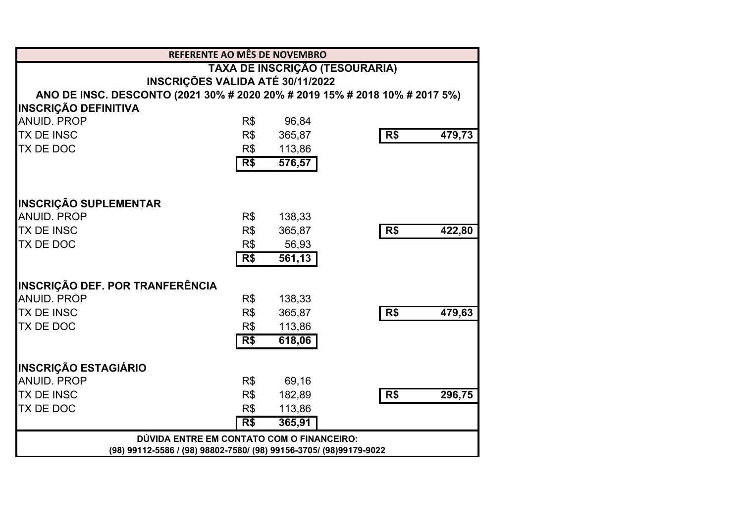|                                                                             | REFERENTE AO MÊS DE NOVEMBRO              |                                |     |        |  |
|-----------------------------------------------------------------------------|-------------------------------------------|--------------------------------|-----|--------|--|
|                                                                             |                                           | TAXA DE INSCRIÇÃO (TESOURARIA) |     |        |  |
|                                                                             | INSCRIÇÕES VALIDA ATÉ 30/11/2022          |                                |     |        |  |
| ANO DE INSC. DESCONTO (2021 30% # 2020 20% # 2019 15% # 2018 10% # 2017 5%) |                                           |                                |     |        |  |
| <b>INSCRIÇÃO DEFINITIVA</b>                                                 |                                           |                                |     |        |  |
| <b>ANUID. PROP</b>                                                          | R\$                                       | 96,84                          |     |        |  |
| <b>TX DE INSC</b>                                                           | R\$                                       | 365,87                         | R\$ | 479,73 |  |
| <b>TX DE DOC</b>                                                            | R\$                                       | 113,86                         |     |        |  |
|                                                                             | R\$                                       | 576,57                         |     |        |  |
|                                                                             |                                           |                                |     |        |  |
| <b>INSCRIÇÃO SUPLEMENTAR</b>                                                |                                           |                                |     |        |  |
| <b>ANUID, PROP</b>                                                          | R\$                                       | 138,33                         |     |        |  |
| <b>TX DE INSC</b>                                                           | R\$                                       | 365,87                         | R\$ | 422,80 |  |
| TX DE DOC                                                                   | R\$                                       | 56,93                          |     |        |  |
|                                                                             | R\$                                       | 561,13                         |     |        |  |
| <b>INSCRIÇÃO DEF. POR TRANFERÊNCIA</b>                                      |                                           |                                |     |        |  |
| <b>ANUID, PROP</b>                                                          | R\$                                       | 138,33                         |     |        |  |
| <b>TX DE INSC</b>                                                           | R\$                                       | 365,87                         | R\$ | 479,63 |  |
| TX DE DOC                                                                   | R\$                                       | 113,86                         |     |        |  |
|                                                                             | R\$                                       | 618,06                         |     |        |  |
| <b>INSCRIÇÃO ESTAGIÁRIO</b>                                                 |                                           |                                |     |        |  |
| <b>ANUID. PROP</b>                                                          | R\$                                       | 69,16                          |     |        |  |
| <b>TX DE INSC</b>                                                           | R\$                                       | 182,89                         | R\$ | 296,75 |  |
| TX DE DOC                                                                   | R\$                                       | 113,86                         |     |        |  |
|                                                                             | R\$                                       | 365,91                         |     |        |  |
|                                                                             | DÚVIDA ENTRE EM CONTATO COM O FINANCEIRO: |                                |     |        |  |
| (98) 99112-5586 / (98) 98802-7580/ (98) 99156-3705/ (98)99179-9022          |                                           |                                |     |        |  |